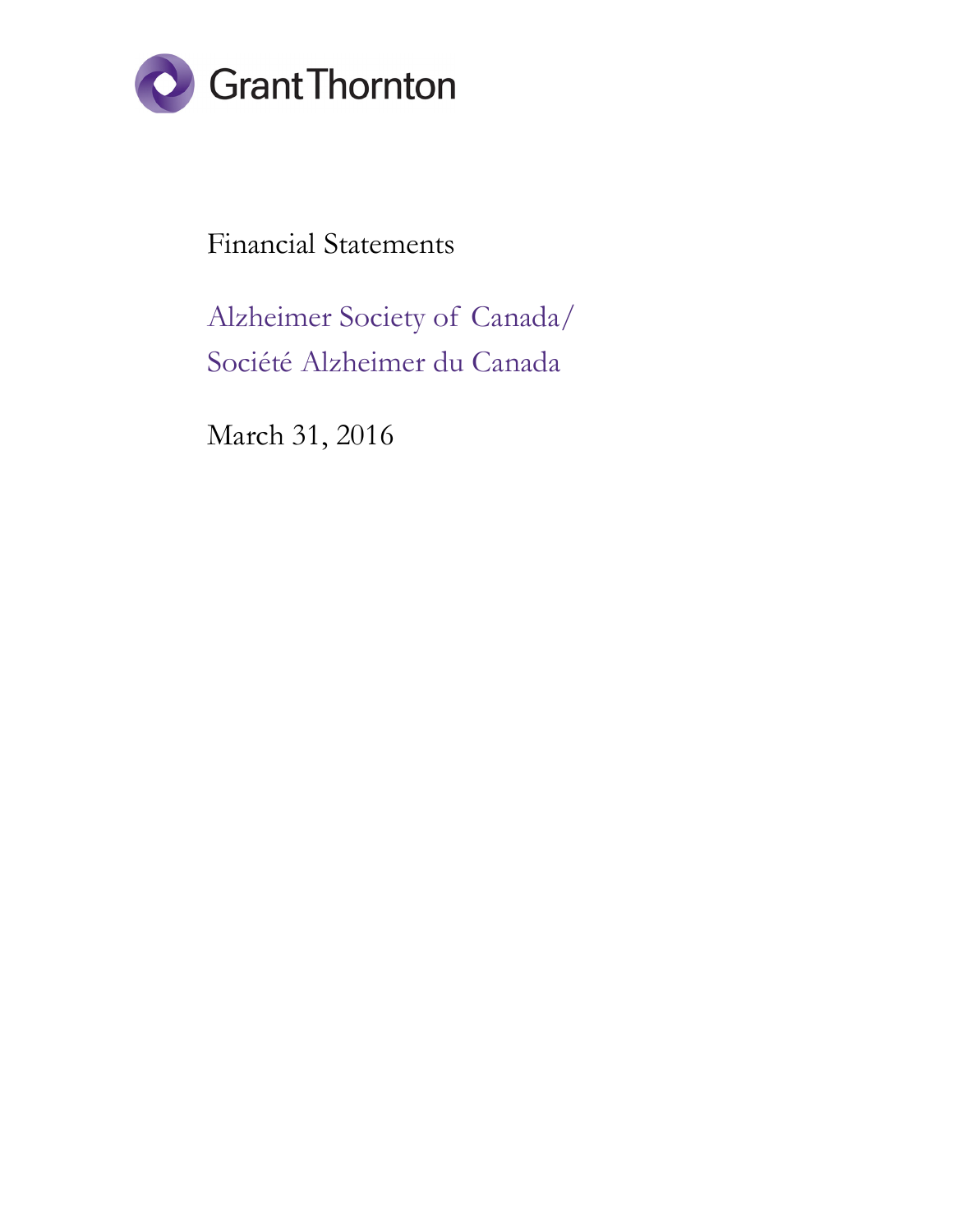

Financial Statements

Alzheimer Society of Canada/ Société Alzheimer du Canada

March 31, 2016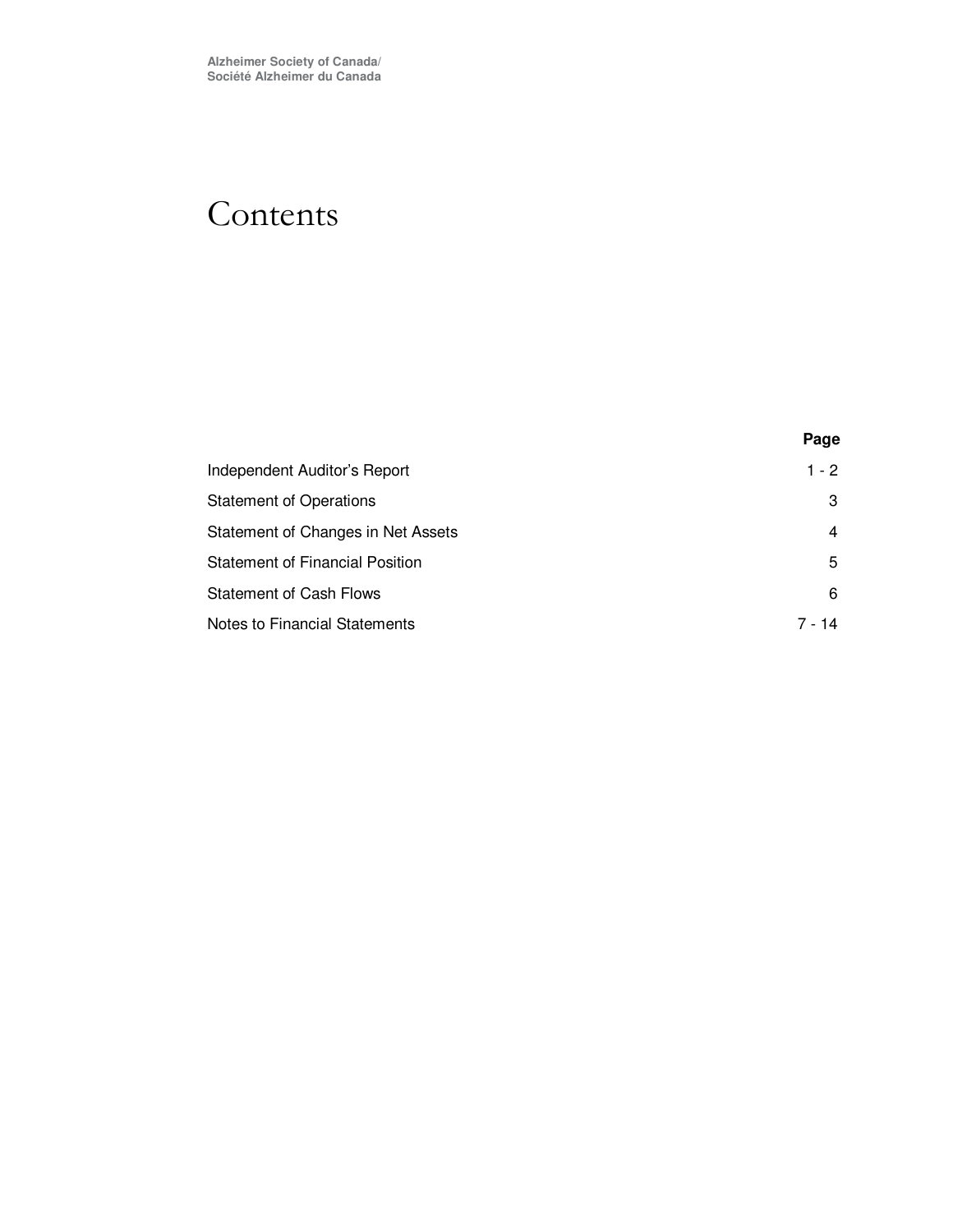## Contents

| Independent Auditor's Report           | 1 - 2  |
|----------------------------------------|--------|
| <b>Statement of Operations</b>         | 3      |
| Statement of Changes in Net Assets     | 4      |
| <b>Statement of Financial Position</b> | 5      |
| <b>Statement of Cash Flows</b>         | 6      |
| <b>Notes to Financial Statements</b>   | 7 - 14 |

**Page**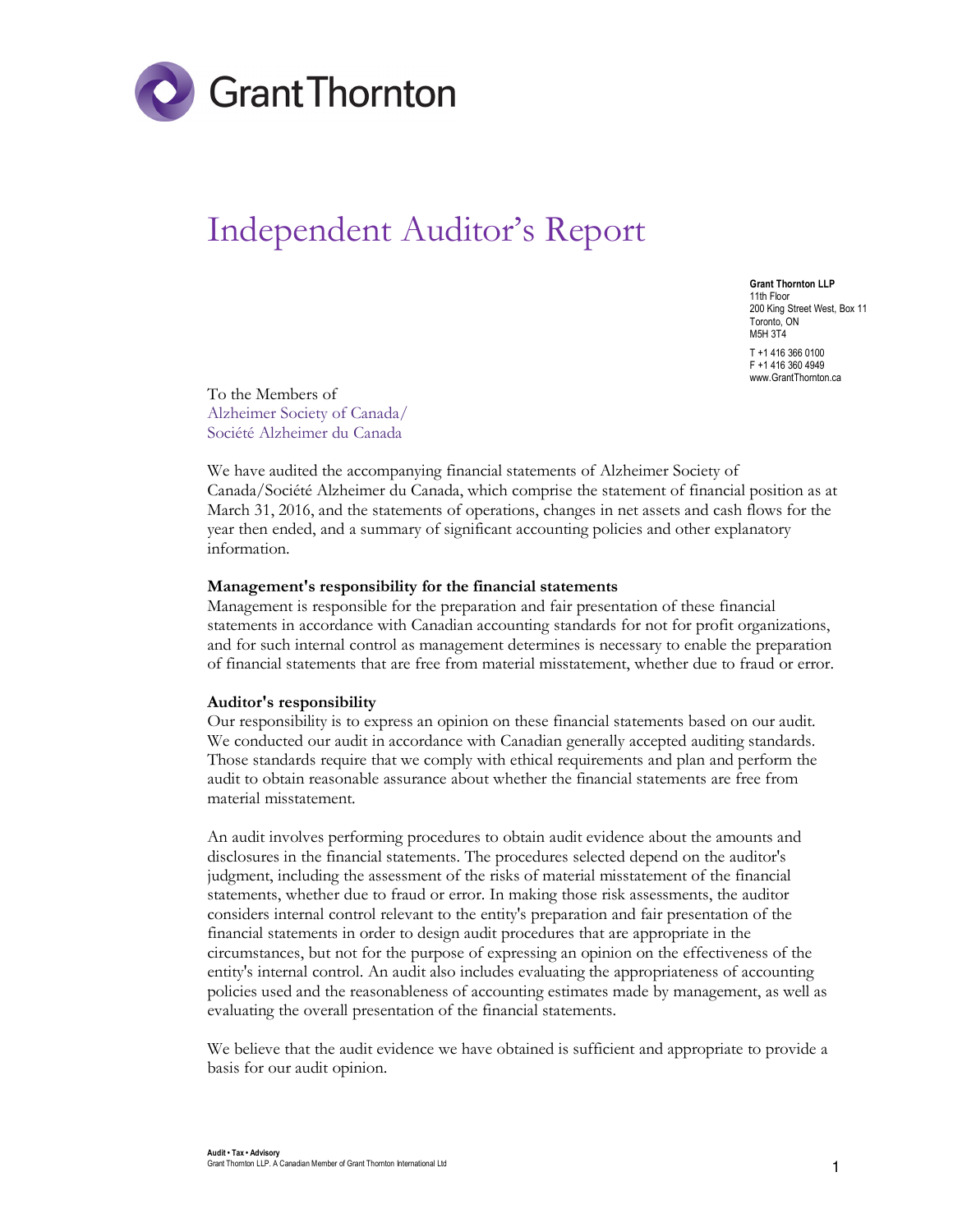

# Independent Auditor's Report

Grant Thornton LLP 11th Floor 200 King Street West, Box 11 Toronto, ON M5H 3T4 T +1 416 366 0100 F +1 416 360 4949 www.GrantThornton.ca

To the Members of Alzheimer Society of Canada/ Société Alzheimer du Canada

We have audited the accompanying financial statements of Alzheimer Society of Canada/Société Alzheimer du Canada, which comprise the statement of financial position as at March 31, 2016, and the statements of operations, changes in net assets and cash flows for the year then ended, and a summary of significant accounting policies and other explanatory information.

#### Management's responsibility for the financial statements

Management is responsible for the preparation and fair presentation of these financial statements in accordance with Canadian accounting standards for not for profit organizations, and for such internal control as management determines is necessary to enable the preparation of financial statements that are free from material misstatement, whether due to fraud or error.

#### Auditor's responsibility

Our responsibility is to express an opinion on these financial statements based on our audit. We conducted our audit in accordance with Canadian generally accepted auditing standards. Those standards require that we comply with ethical requirements and plan and perform the audit to obtain reasonable assurance about whether the financial statements are free from material misstatement.

An audit involves performing procedures to obtain audit evidence about the amounts and disclosures in the financial statements. The procedures selected depend on the auditor's judgment, including the assessment of the risks of material misstatement of the financial statements, whether due to fraud or error. In making those risk assessments, the auditor considers internal control relevant to the entity's preparation and fair presentation of the financial statements in order to design audit procedures that are appropriate in the circumstances, but not for the purpose of expressing an opinion on the effectiveness of the entity's internal control. An audit also includes evaluating the appropriateness of accounting policies used and the reasonableness of accounting estimates made by management, as well as evaluating the overall presentation of the financial statements.

We believe that the audit evidence we have obtained is sufficient and appropriate to provide a basis for our audit opinion.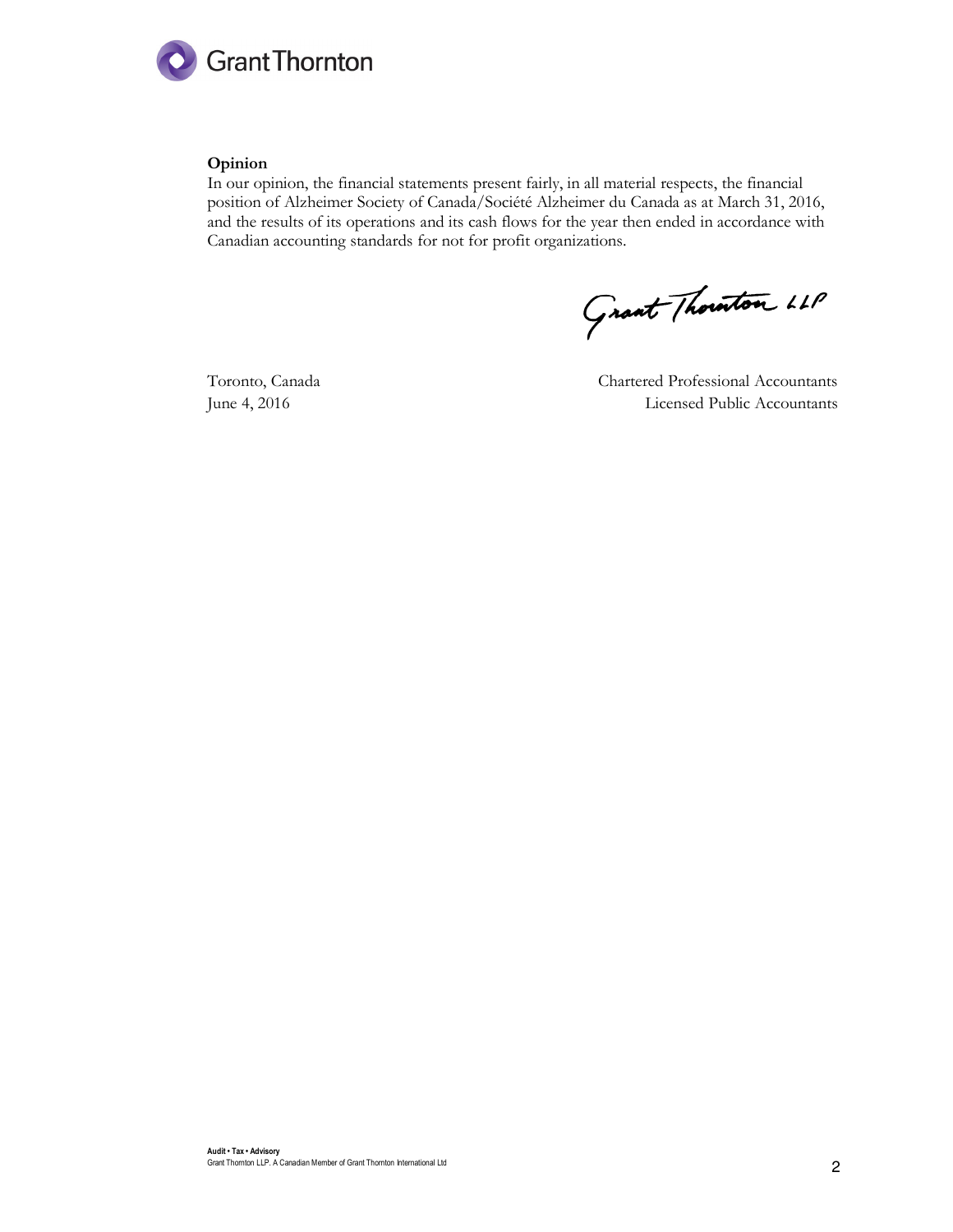

#### Opinion

In our opinion, the financial statements present fairly, in all material respects, the financial position of Alzheimer Society of Canada/Société Alzheimer du Canada as at March 31, 2016, and the results of its operations and its cash flows for the year then ended in accordance with Canadian accounting standards for not for profit organizations.

Grant Thouton LLP

Toronto, Canada Chartered Professional Accountants June 4, 2016 Licensed Public Accountants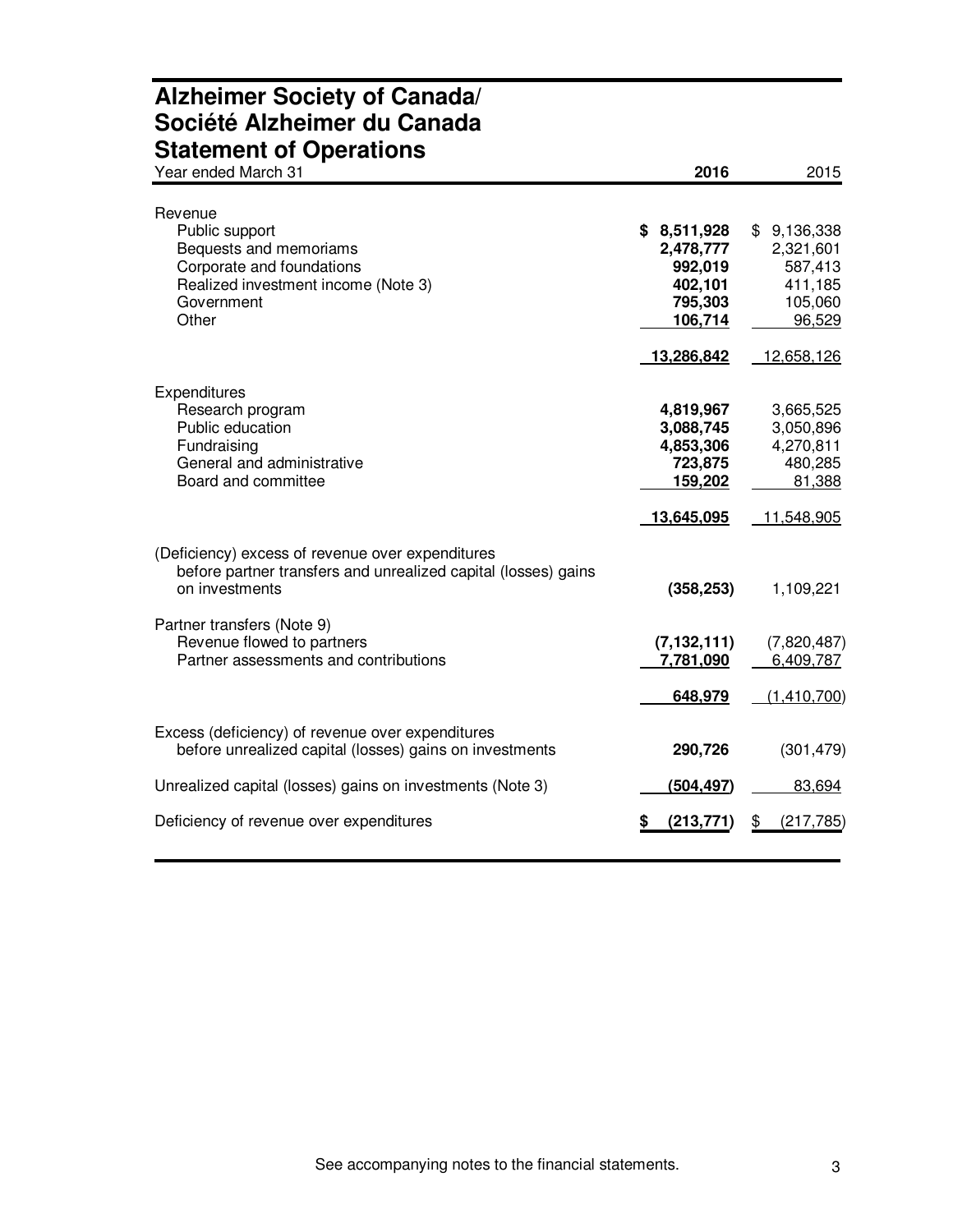## **Alzheimer Society of Canada/ Société Alzheimer du Canada Statement of Operations**

| Year ended March 31                                                                                                                            | 2016                                                                               | 2015                                                                              |
|------------------------------------------------------------------------------------------------------------------------------------------------|------------------------------------------------------------------------------------|-----------------------------------------------------------------------------------|
| Revenue<br>Public support<br>Bequests and memoriams<br>Corporate and foundations<br>Realized investment income (Note 3)<br>Government<br>Other | \$8,511,928<br>2,478,777<br>992,019<br>402,101<br>795,303<br>106,714<br>13,286,842 | \$9,136,338<br>2,321,601<br>587,413<br>411,185<br>105,060<br>96,529<br>12,658,126 |
| Expenditures<br>Research program<br>Public education<br>Fundraising<br>General and administrative<br>Board and committee                       | 4,819,967<br>3,088,745<br>4,853,306<br>723,875<br>159,202<br>13,645,095            | 3,665,525<br>3,050,896<br>4,270,811<br>480,285<br>81,388<br>11,548,905            |
| (Deficiency) excess of revenue over expenditures<br>before partner transfers and unrealized capital (losses) gains<br>on investments           | (358, 253)                                                                         | 1,109,221                                                                         |
| Partner transfers (Note 9)<br>Revenue flowed to partners<br>Partner assessments and contributions                                              | (7, 132, 111)<br>7,781,090<br>648,979                                              | (7,820,487)<br>6,409,787<br>(1,410,700)                                           |
| Excess (deficiency) of revenue over expenditures<br>before unrealized capital (losses) gains on investments                                    | 290,726                                                                            | (301, 479)                                                                        |
| Unrealized capital (losses) gains on investments (Note 3)                                                                                      | (504, 497)                                                                         | 83,694                                                                            |
| Deficiency of revenue over expenditures                                                                                                        | (213, 771)                                                                         | (217, 785)<br>SБ                                                                  |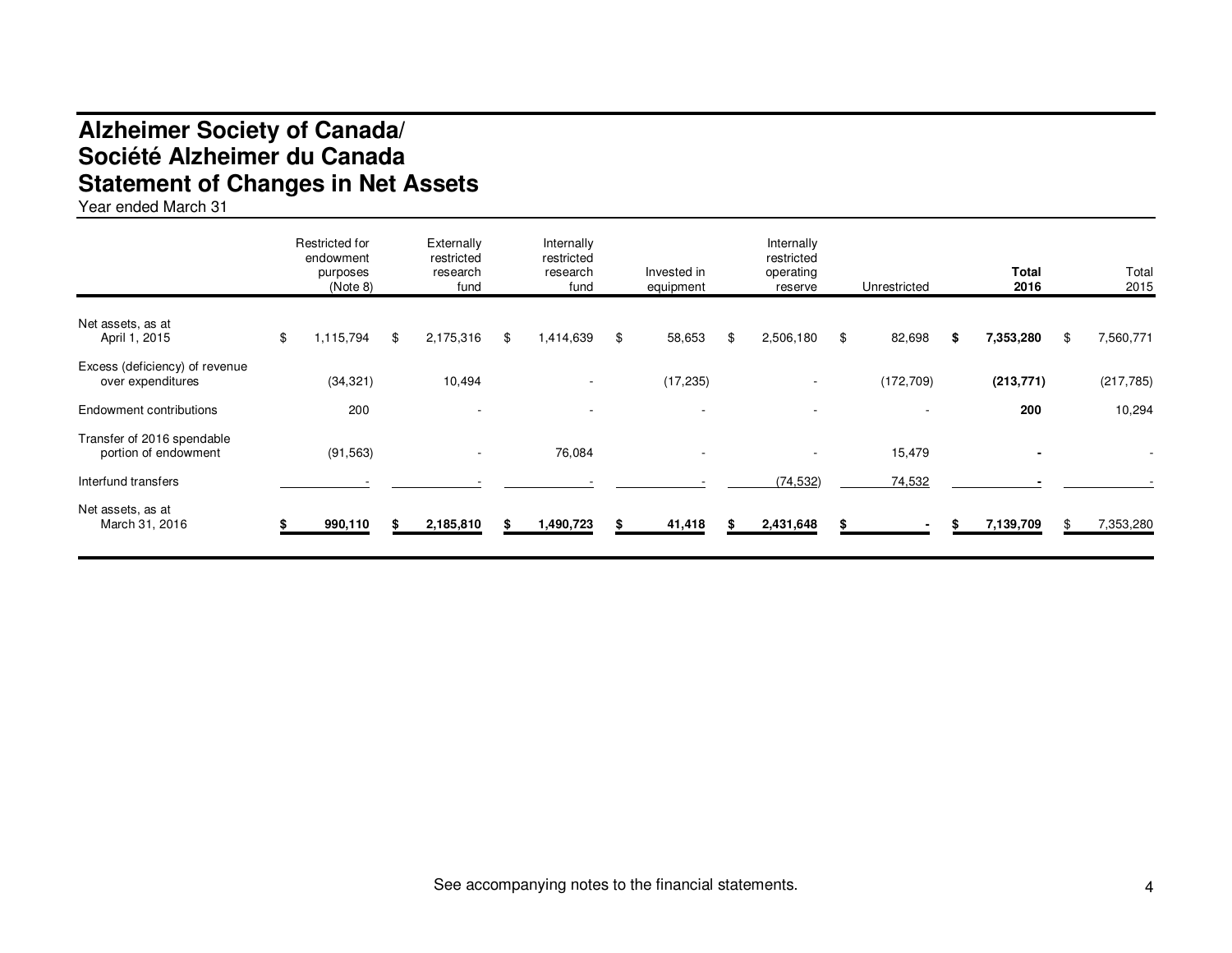## **Alzheimer Society of Canada/ Société Alzheimer du Canada Statement of Changes in Net Assets**

Year ended March 31

|                                                     | Restricted for<br>endowment<br>purposes<br>(Note 8) | Externally<br>restricted<br>research<br>fund | Internally<br>restricted<br>research<br>fund | Invested in<br>equipment | Internally<br>restricted<br>operating<br>reserve | Unrestricted |   | <b>Total</b><br>2016 | Total<br>2015   |
|-----------------------------------------------------|-----------------------------------------------------|----------------------------------------------|----------------------------------------------|--------------------------|--------------------------------------------------|--------------|---|----------------------|-----------------|
| Net assets, as at<br>April 1, 2015                  | \$<br>1,115,794                                     | \$<br>2,175,316                              | \$<br>1,414,639                              | \$<br>58,653             | \$<br>2,506,180                                  | \$<br>82,698 | S | 7,353,280            | \$<br>7,560,771 |
| Excess (deficiency) of revenue<br>over expenditures | (34, 321)                                           | 10,494                                       |                                              | (17, 235)                | $\overline{\phantom{a}}$                         | (172, 709)   |   | (213, 771)           | (217, 785)      |
| <b>Endowment contributions</b>                      | 200                                                 |                                              |                                              |                          |                                                  |              |   | 200                  | 10,294          |
| Transfer of 2016 spendable<br>portion of endowment  | (91, 563)                                           |                                              | 76,084                                       | $\overline{\phantom{a}}$ |                                                  | 15,479       |   |                      |                 |
| Interfund transfers                                 |                                                     |                                              |                                              |                          | (74, 532)                                        | 74,532       |   |                      |                 |
| Net assets, as at<br>March 31, 2016                 | 990,110                                             | 2,185,810                                    | 1,490,723                                    | 41,418                   | 2,431,648                                        |              |   | 7,139,709            | 7,353,280       |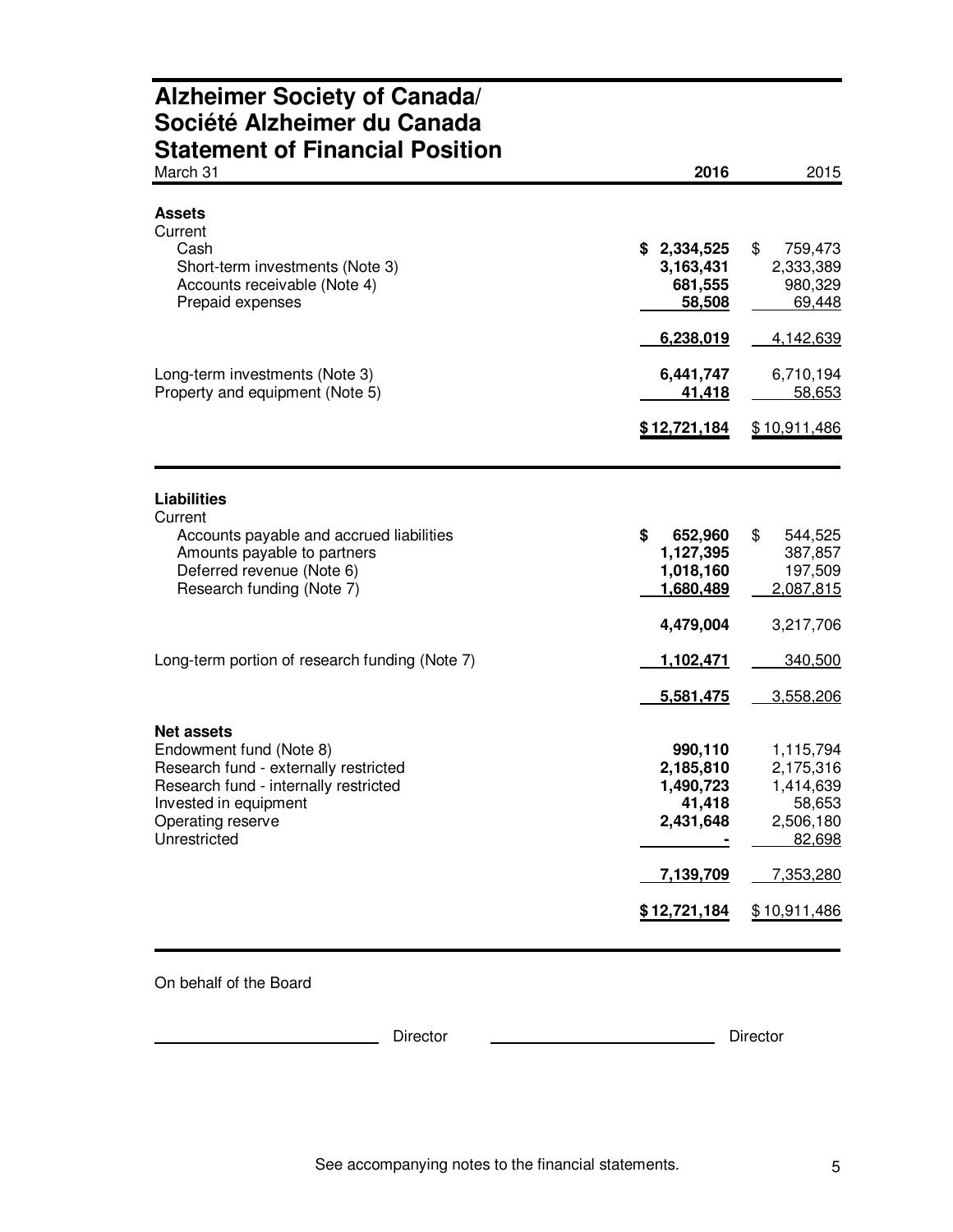### **Alzheimer Society of Canada/ Société Alzheimer du Canada Statement of Financial Position**

| March 31                                                                                                                                                | 2016                                                     | 2015                                                       |
|---------------------------------------------------------------------------------------------------------------------------------------------------------|----------------------------------------------------------|------------------------------------------------------------|
| <b>Assets</b><br>Current<br>Cash<br>Short-term investments (Note 3)<br>Accounts receivable (Note 4)                                                     | \$2,334,525<br>3,163,431<br>681,555                      | \$<br>759,473<br>2,333,389<br>980,329                      |
| Prepaid expenses                                                                                                                                        | 58,508<br>6,238,019                                      | 69,448<br>4,142,639                                        |
| Long-term investments (Note 3)<br>Property and equipment (Note 5)                                                                                       | 6,441,747<br>41,418                                      | 6,710,194<br>58,653                                        |
|                                                                                                                                                         | \$12,721,184                                             | \$10,911,486                                               |
| <b>Liabilities</b><br>Current                                                                                                                           |                                                          |                                                            |
| Accounts payable and accrued liabilities<br>Amounts payable to partners<br>Deferred revenue (Note 6)<br>Research funding (Note 7)                       | \$<br>652,960<br>1,127,395<br>1,018,160<br>1,680,489     | \$<br>544,525<br>387,857<br>197,509<br>2,087,815           |
|                                                                                                                                                         | 4,479,004                                                | 3,217,706                                                  |
| Long-term portion of research funding (Note 7)                                                                                                          | 1,102,471<br>5,581,475                                   | 340,500<br>3,558,206                                       |
| <b>Net assets</b>                                                                                                                                       |                                                          |                                                            |
| Endowment fund (Note 8)<br>Research fund - externally restricted<br>Research fund - internally restricted<br>Invested in equipment<br>Operating reserve | 990,110<br>2,185,810<br>1,490,723<br>41,418<br>2,431,648 | 1,115,794<br>2,175,316<br>1,414,639<br>58,653<br>2,506,180 |
| Unrestricted                                                                                                                                            | 7,139,709                                                | 82,698<br>7,353,280                                        |
|                                                                                                                                                         | \$12,721,184                                             | \$10,911,486                                               |

On behalf of the Board

**Director** Director **Director** Director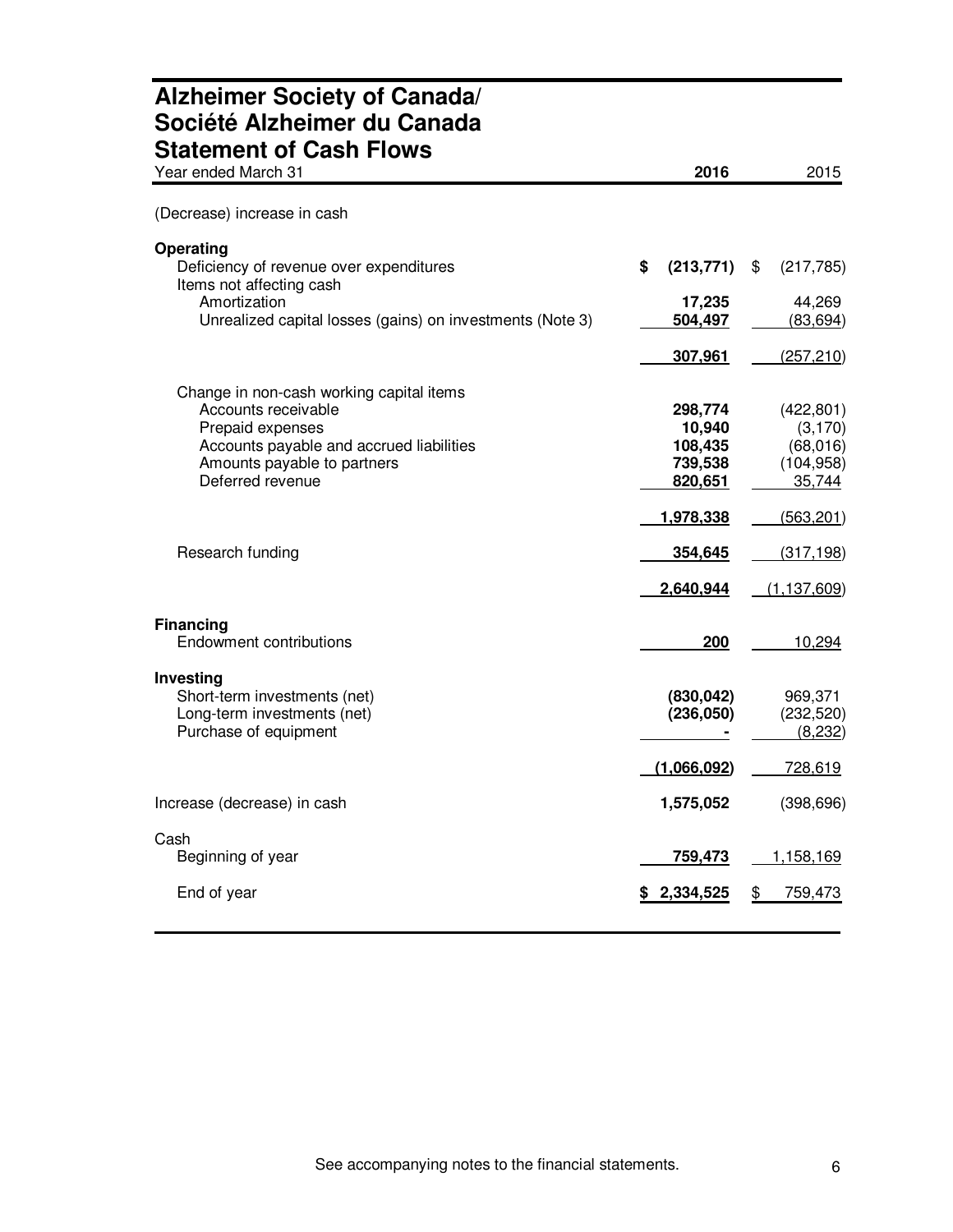| <b>Alzheimer Society of Canada/</b><br>Société Alzheimer du Canada<br><b>Statement of Cash Flows</b> |                         |                                  |
|------------------------------------------------------------------------------------------------------|-------------------------|----------------------------------|
| Year ended March 31                                                                                  | 2016                    | 2015                             |
| (Decrease) increase in cash                                                                          |                         |                                  |
| <b>Operating</b><br>Deficiency of revenue over expenditures<br>Items not affecting cash              | \$<br>(213, 771)        | \$<br>(217, 785)                 |
| Amortization                                                                                         | 17,235                  | 44,269                           |
| Unrealized capital losses (gains) on investments (Note 3)                                            | 504,497                 | (83, 694)                        |
|                                                                                                      | 307,961                 | (257, 210)                       |
|                                                                                                      |                         |                                  |
| Change in non-cash working capital items<br>Accounts receivable                                      | 298,774                 | (422, 801)                       |
| Prepaid expenses                                                                                     | 10,940                  | (3, 170)                         |
| Accounts payable and accrued liabilities                                                             | 108,435                 | (68, 016)                        |
| Amounts payable to partners                                                                          | 739,538                 | (104, 958)                       |
| Deferred revenue                                                                                     | 820,651                 | 35,744                           |
|                                                                                                      | 1,978,338               | (563, 201)                       |
| Research funding                                                                                     | 354,645                 | (317, 198)                       |
|                                                                                                      | 2,640,944               | (1, 137, 609)                    |
| <b>Financing</b><br>Endowment contributions                                                          | 200                     | 10,294                           |
| Investing<br>Short-term investments (net)<br>Long-term investments (net)<br>Purchase of equipment    | (830, 042)<br>(236,050) | 969,371<br>(232, 520)<br>(8,232) |
|                                                                                                      | (1,066,092)             | 728,619                          |
| Increase (decrease) in cash                                                                          | 1,575,052               | (398, 696)                       |
| Cash<br>Beginning of year                                                                            | 759,473                 | <u>1,158,169</u>                 |
| End of year                                                                                          | \$2,334,525             | <u>759,473</u><br>\$             |

# **Alzheimer Society of Canada/**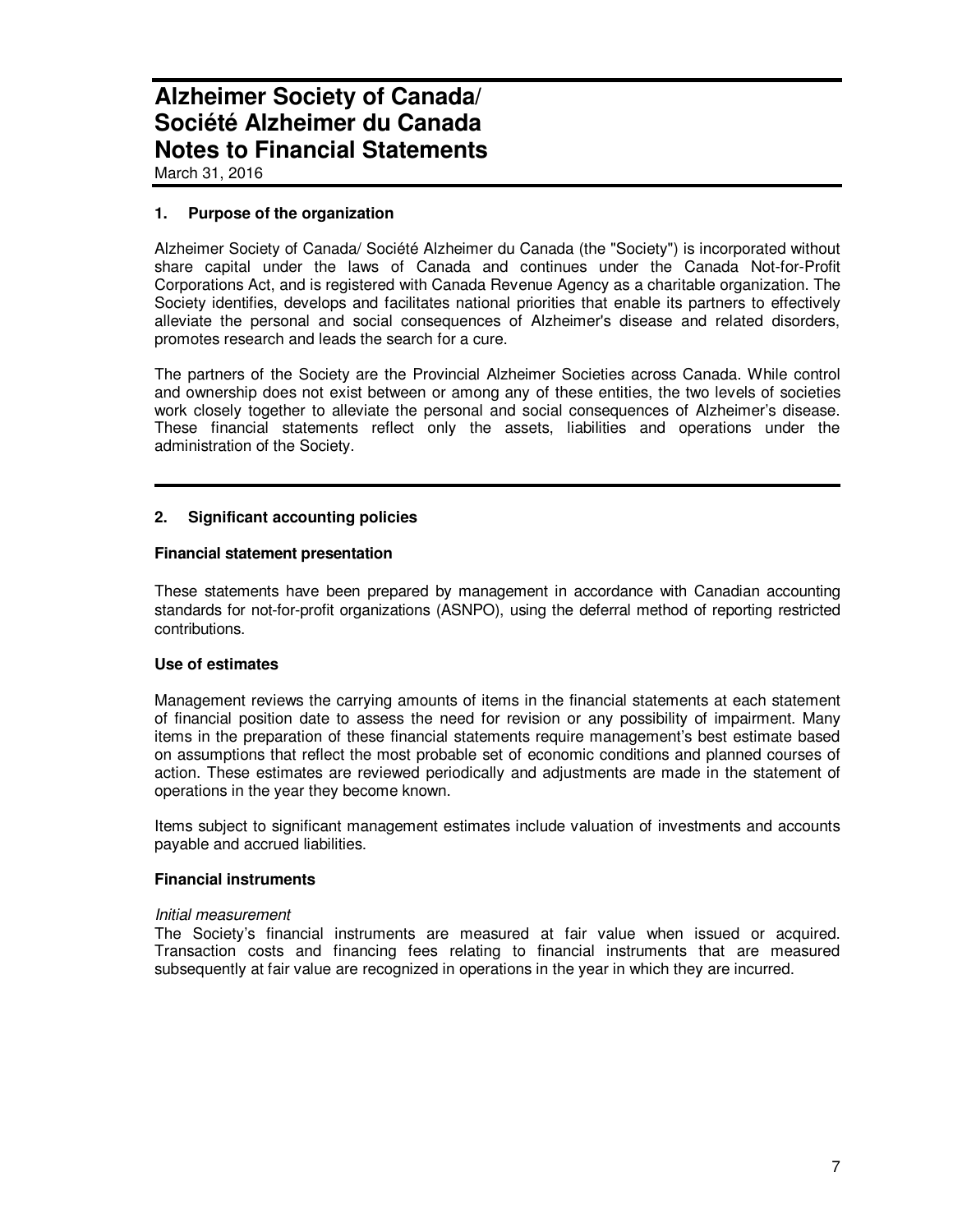March 31, 2016

#### **1. Purpose of the organization**

Alzheimer Society of Canada/ Société Alzheimer du Canada (the "Society") is incorporated without share capital under the laws of Canada and continues under the Canada Not-for-Profit Corporations Act, and is registered with Canada Revenue Agency as a charitable organization. The Society identifies, develops and facilitates national priorities that enable its partners to effectively alleviate the personal and social consequences of Alzheimer's disease and related disorders, promotes research and leads the search for a cure.

The partners of the Society are the Provincial Alzheimer Societies across Canada. While control and ownership does not exist between or among any of these entities, the two levels of societies work closely together to alleviate the personal and social consequences of Alzheimer's disease. These financial statements reflect only the assets, liabilities and operations under the administration of the Society.

#### **2. Significant accounting policies**

#### **Financial statement presentation**

These statements have been prepared by management in accordance with Canadian accounting standards for not-for-profit organizations (ASNPO), using the deferral method of reporting restricted contributions.

#### **Use of estimates**

Management reviews the carrying amounts of items in the financial statements at each statement of financial position date to assess the need for revision or any possibility of impairment. Many items in the preparation of these financial statements require management's best estimate based on assumptions that reflect the most probable set of economic conditions and planned courses of action. These estimates are reviewed periodically and adjustments are made in the statement of operations in the year they become known.

Items subject to significant management estimates include valuation of investments and accounts payable and accrued liabilities.

#### **Financial instruments**

#### Initial measurement

The Society's financial instruments are measured at fair value when issued or acquired. Transaction costs and financing fees relating to financial instruments that are measured subsequently at fair value are recognized in operations in the year in which they are incurred.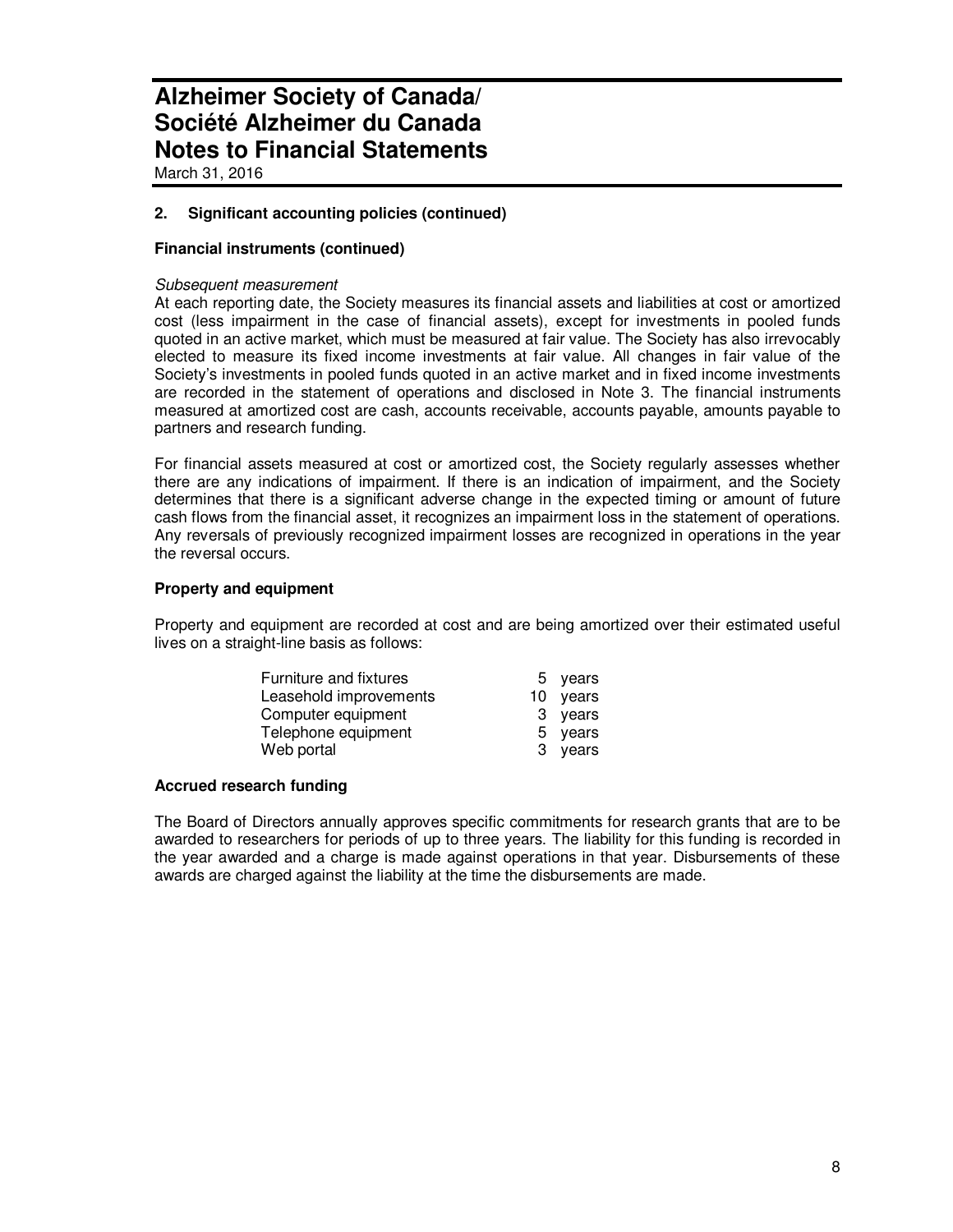March 31, 2016

#### **2. Significant accounting policies (continued)**

#### **Financial instruments (continued)**

#### Subsequent measurement

At each reporting date, the Society measures its financial assets and liabilities at cost or amortized cost (less impairment in the case of financial assets), except for investments in pooled funds quoted in an active market, which must be measured at fair value. The Society has also irrevocably elected to measure its fixed income investments at fair value. All changes in fair value of the Society's investments in pooled funds quoted in an active market and in fixed income investments are recorded in the statement of operations and disclosed in Note 3. The financial instruments measured at amortized cost are cash, accounts receivable, accounts payable, amounts payable to partners and research funding.

For financial assets measured at cost or amortized cost, the Society regularly assesses whether there are any indications of impairment. If there is an indication of impairment, and the Society determines that there is a significant adverse change in the expected timing or amount of future cash flows from the financial asset, it recognizes an impairment loss in the statement of operations. Any reversals of previously recognized impairment losses are recognized in operations in the year the reversal occurs.

#### **Property and equipment**

Property and equipment are recorded at cost and are being amortized over their estimated useful lives on a straight-line basis as follows:

| <b>Furniture and fixtures</b> | 5 years  |  |
|-------------------------------|----------|--|
| Leasehold improvements        | 10 years |  |
| Computer equipment            | 3 years  |  |
| Telephone equipment           | 5 years  |  |
| Web portal                    | 3 years  |  |

#### **Accrued research funding**

The Board of Directors annually approves specific commitments for research grants that are to be awarded to researchers for periods of up to three years. The liability for this funding is recorded in the year awarded and a charge is made against operations in that year. Disbursements of these awards are charged against the liability at the time the disbursements are made.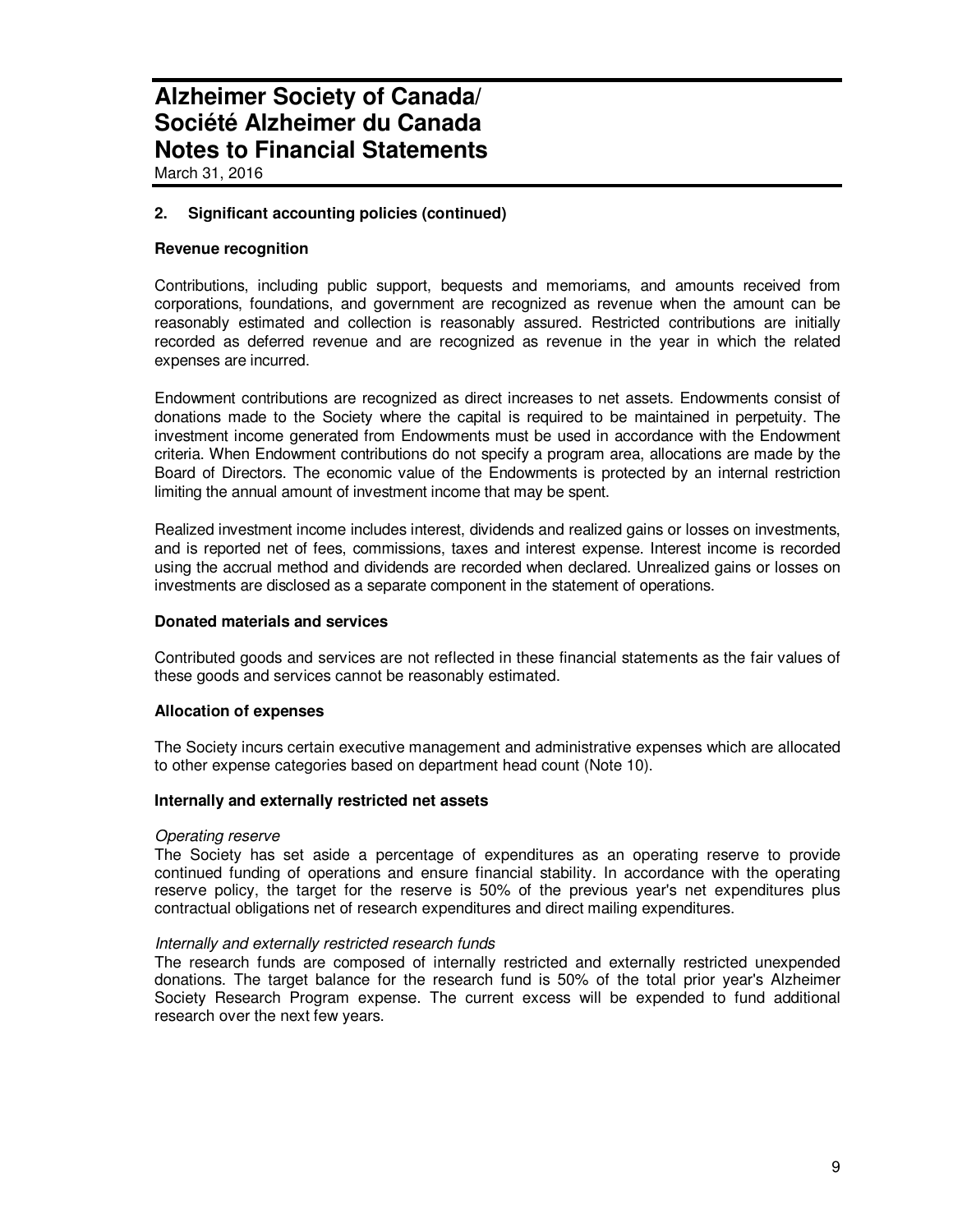March 31, 2016

#### **2. Significant accounting policies (continued)**

#### **Revenue recognition**

Contributions, including public support, bequests and memoriams, and amounts received from corporations, foundations, and government are recognized as revenue when the amount can be reasonably estimated and collection is reasonably assured. Restricted contributions are initially recorded as deferred revenue and are recognized as revenue in the year in which the related expenses are incurred.

Endowment contributions are recognized as direct increases to net assets. Endowments consist of donations made to the Society where the capital is required to be maintained in perpetuity. The investment income generated from Endowments must be used in accordance with the Endowment criteria. When Endowment contributions do not specify a program area, allocations are made by the Board of Directors. The economic value of the Endowments is protected by an internal restriction limiting the annual amount of investment income that may be spent.

Realized investment income includes interest, dividends and realized gains or losses on investments, and is reported net of fees, commissions, taxes and interest expense. Interest income is recorded using the accrual method and dividends are recorded when declared. Unrealized gains or losses on investments are disclosed as a separate component in the statement of operations.

#### **Donated materials and services**

Contributed goods and services are not reflected in these financial statements as the fair values of these goods and services cannot be reasonably estimated.

#### **Allocation of expenses**

The Society incurs certain executive management and administrative expenses which are allocated to other expense categories based on department head count (Note 10).

#### **Internally and externally restricted net assets**

#### Operating reserve

The Society has set aside a percentage of expenditures as an operating reserve to provide continued funding of operations and ensure financial stability. In accordance with the operating reserve policy, the target for the reserve is 50% of the previous year's net expenditures plus contractual obligations net of research expenditures and direct mailing expenditures.

#### Internally and externally restricted research funds

The research funds are composed of internally restricted and externally restricted unexpended donations. The target balance for the research fund is 50% of the total prior year's Alzheimer Society Research Program expense. The current excess will be expended to fund additional research over the next few years.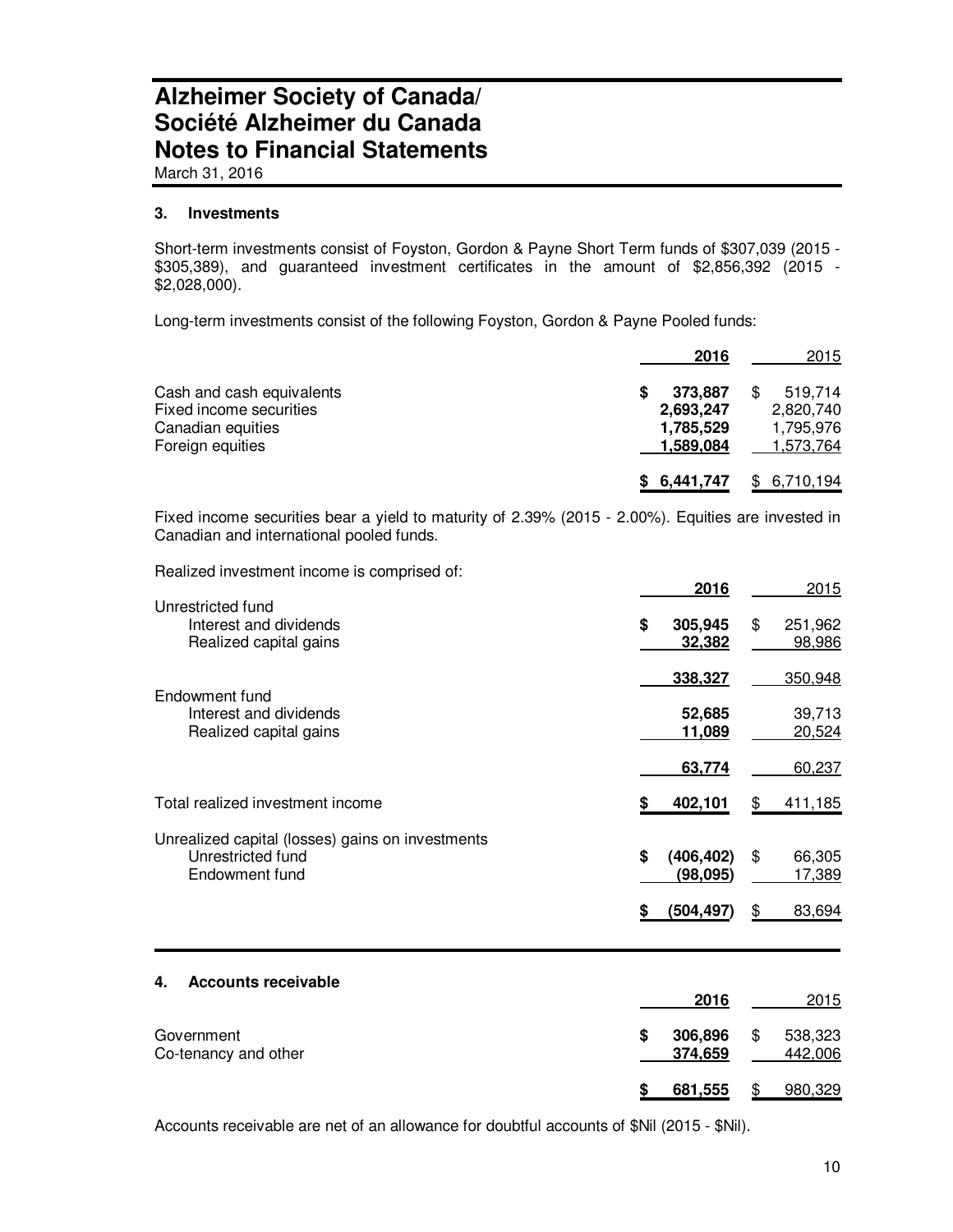March 31, 2016

#### **3. Investments**

Short-term investments consist of Foyston, Gordon & Payne Short Term funds of \$307,039 (2015 - \$305,389), and guaranteed investment certificates in the amount of \$2,856,392 (2015 - \$2,028,000).

Long-term investments consist of the following Foyston, Gordon & Payne Pooled funds:

|                                                                                               | 2016                                           | 2015                                           |
|-----------------------------------------------------------------------------------------------|------------------------------------------------|------------------------------------------------|
| Cash and cash equivalents<br>Fixed income securities<br>Canadian equities<br>Foreign equities | 373.887<br>2,693,247<br>1,785,529<br>1,589,084 | 519.714<br>2,820,740<br>1,795,976<br>1,573,764 |
|                                                                                               | \$6,441,747                                    | 6,710,194                                      |

Fixed income securities bear a yield to maturity of 2.39% (2015 - 2.00%). Equities are invested in Canadian and international pooled funds.

Realized investment income is comprised of:

|                                                                                         |    | 2016                    | 2015                    |
|-----------------------------------------------------------------------------------------|----|-------------------------|-------------------------|
| Unrestricted fund<br>Interest and dividends<br>Realized capital gains                   | S  | 305,945<br>32,382       | \$<br>251,962<br>98,986 |
| Endowment fund                                                                          |    | 338,327                 | 350,948                 |
| Interest and dividends<br>Realized capital gains                                        |    | 52,685<br>11,089        | 39,713<br>20,524        |
|                                                                                         |    | 63,774                  | 60,237                  |
| Total realized investment income                                                        |    | 402,101                 | 411,185                 |
| Unrealized capital (losses) gains on investments<br>Unrestricted fund<br>Endowment fund | \$ | (406, 402)<br>(98, 095) | \$<br>66,305<br>17,389  |
|                                                                                         | \$ | (504,497)               | \$<br>83,694            |

#### **4. Accounts receivable**

|                                    | 2016               | 2015                     |
|------------------------------------|--------------------|--------------------------|
| Government<br>Co-tenancy and other | 306,896<br>374,659 | \$<br>538,323<br>442,006 |
|                                    | 681,555            | 980,329                  |

Accounts receivable are net of an allowance for doubtful accounts of \$Nil (2015 - \$Nil).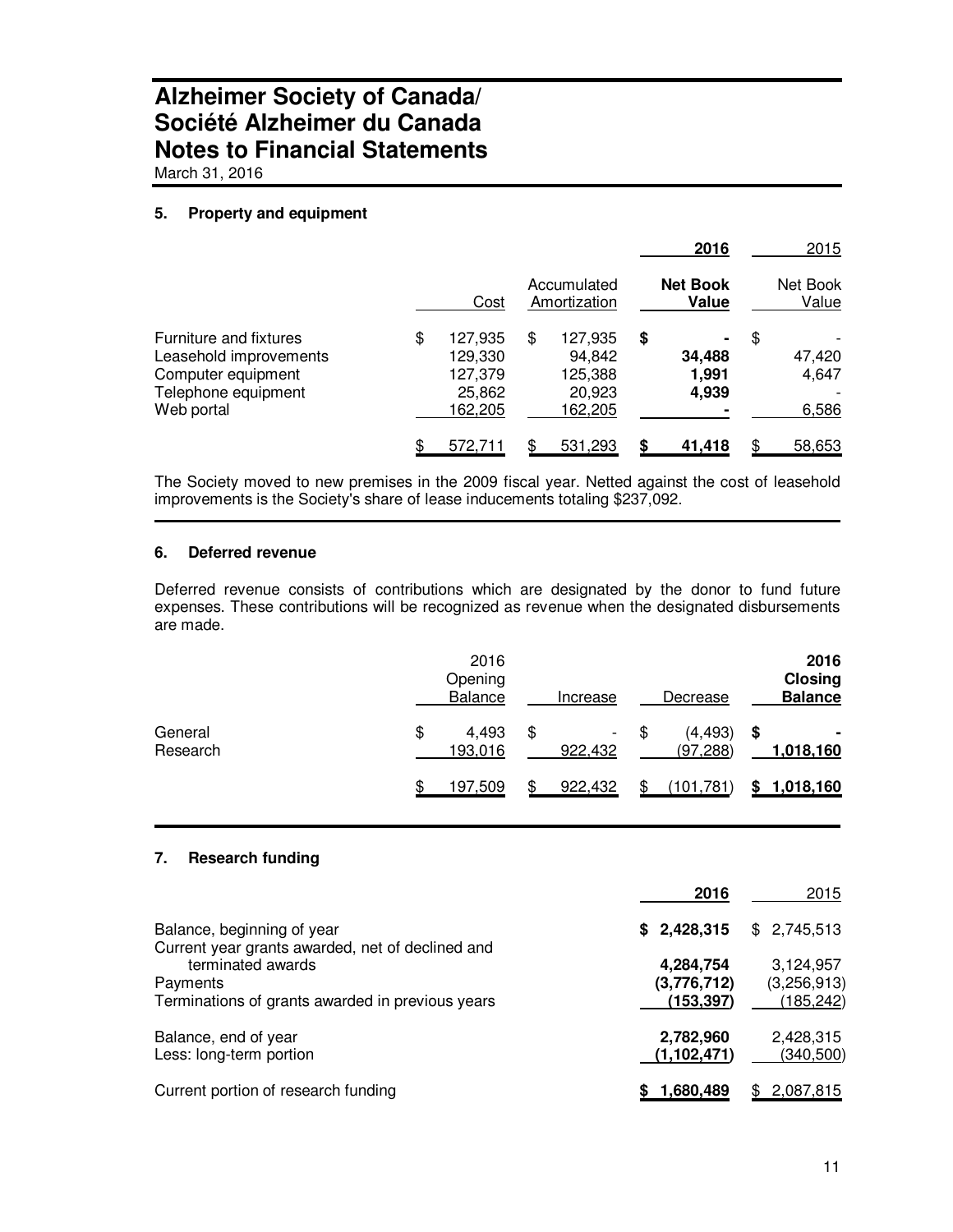March 31, 2016

#### **5. Property and equipment**

|                                                                                                             |                                                          |                                                         |    | 2016                     | 2015                           |
|-------------------------------------------------------------------------------------------------------------|----------------------------------------------------------|---------------------------------------------------------|----|--------------------------|--------------------------------|
|                                                                                                             | Cost                                                     | Accumulated<br>Amortization                             |    | <b>Net Book</b><br>Value | Net Book<br>Value              |
| Furniture and fixtures<br>Leasehold improvements<br>Computer equipment<br>Telephone equipment<br>Web portal | \$<br>127,935<br>129,330<br>127,379<br>25,862<br>162,205 | \$<br>127,935<br>94,842<br>125,388<br>20,923<br>162,205 | \$ | 34,488<br>1,991<br>4,939 | \$<br>47,420<br>4,647<br>6,586 |
|                                                                                                             | \$<br>572,711                                            | \$<br>531,293                                           | S  | 41,418                   | 58,653                         |

The Society moved to new premises in the 2009 fiscal year. Netted against the cost of leasehold improvements is the Society's share of lease inducements totaling \$237,092.

#### **6. Deferred revenue**

Deferred revenue consists of contributions which are designated by the donor to fund future expenses. These contributions will be recognized as revenue when the designated disbursements are made.

|                     | 2016<br>Opening<br><b>Balance</b> | Increase            | Decrease              |   | 2016<br><b>Closing</b><br><b>Balance</b> |
|---------------------|-----------------------------------|---------------------|-----------------------|---|------------------------------------------|
| General<br>Research | \$<br>4,493<br>193,016            | \$<br>۰.<br>922,432 | (4, 493)<br>(97, 288) | S | 1,018,160                                |
|                     | 197,509                           | \$<br>922,432       | (101, 781)            |   | 1,018,160                                |

#### **7. Research funding**

|                                                                                   | 2016                                   | 2015                                   |
|-----------------------------------------------------------------------------------|----------------------------------------|----------------------------------------|
| Balance, beginning of year<br>Current year grants awarded, net of declined and    | \$2,428,315                            | \$2,745,513                            |
| terminated awards<br>Payments<br>Terminations of grants awarded in previous years | 4,284,754<br>(3,776,712)<br>(153, 397) | 3,124,957<br>(3,256,913)<br>(185, 242) |
| Balance, end of year<br>Less: long-term portion                                   | 2,782,960<br>(1, 102, 471)             | 2,428,315<br>(340, 500)                |
| Current portion of research funding                                               | 1,680,489                              | 2,087,815                              |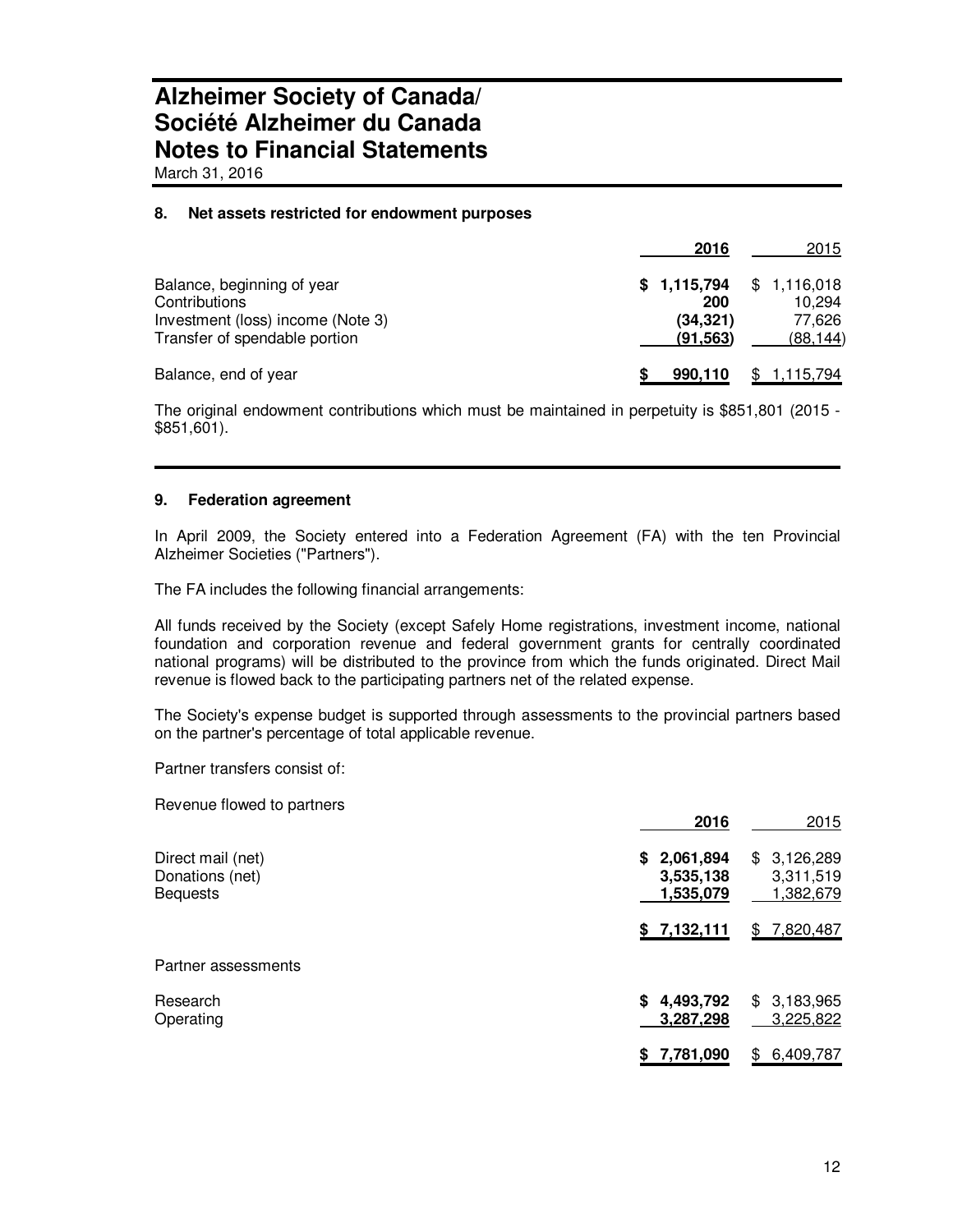March 31, 2016

#### **8. Net assets restricted for endowment purposes**

|                                                                    | 2016                  | 2015                                |
|--------------------------------------------------------------------|-----------------------|-------------------------------------|
| Balance, beginning of year<br>Contributions                        | 200                   | $$1,115,794$ $$1,116,018$<br>10.294 |
| Investment (loss) income (Note 3)<br>Transfer of spendable portion | (34, 321)<br>(91.563) | 77.626<br>(88, 144)                 |
| Balance, end of year                                               | 990,110               | \$1,115,794                         |

The original endowment contributions which must be maintained in perpetuity is \$851,801 (2015 - \$851,601).

#### **9. Federation agreement**

In April 2009, the Society entered into a Federation Agreement (FA) with the ten Provincial Alzheimer Societies ("Partners").

The FA includes the following financial arrangements:

All funds received by the Society (except Safely Home registrations, investment income, national foundation and corporation revenue and federal government grants for centrally coordinated national programs) will be distributed to the province from which the funds originated. Direct Mail revenue is flowed back to the participating partners net of the related expense.

The Society's expense budget is supported through assessments to the provincial partners based on the partner's percentage of total applicable revenue.

Partner transfers consist of:

Revenue flowed to partners

|                                                         | 2016                                      | 2015                                         |
|---------------------------------------------------------|-------------------------------------------|----------------------------------------------|
| Direct mail (net)<br>Donations (net)<br><b>Bequests</b> | 2,061,894<br>S.<br>3,535,138<br>1,535,079 | \$3,126,289<br>3,311,519<br><u>1,382,679</u> |
|                                                         | \$7,132,111                               | 7,820,487<br>\$                              |
| Partner assessments                                     |                                           |                                              |
| Research<br>Operating                                   | 4,493,792<br>S.<br>3,287,298              | \$3,183,965<br>3,225,822                     |
|                                                         | 7,781,090<br>S                            | 6,409,787<br>\$.                             |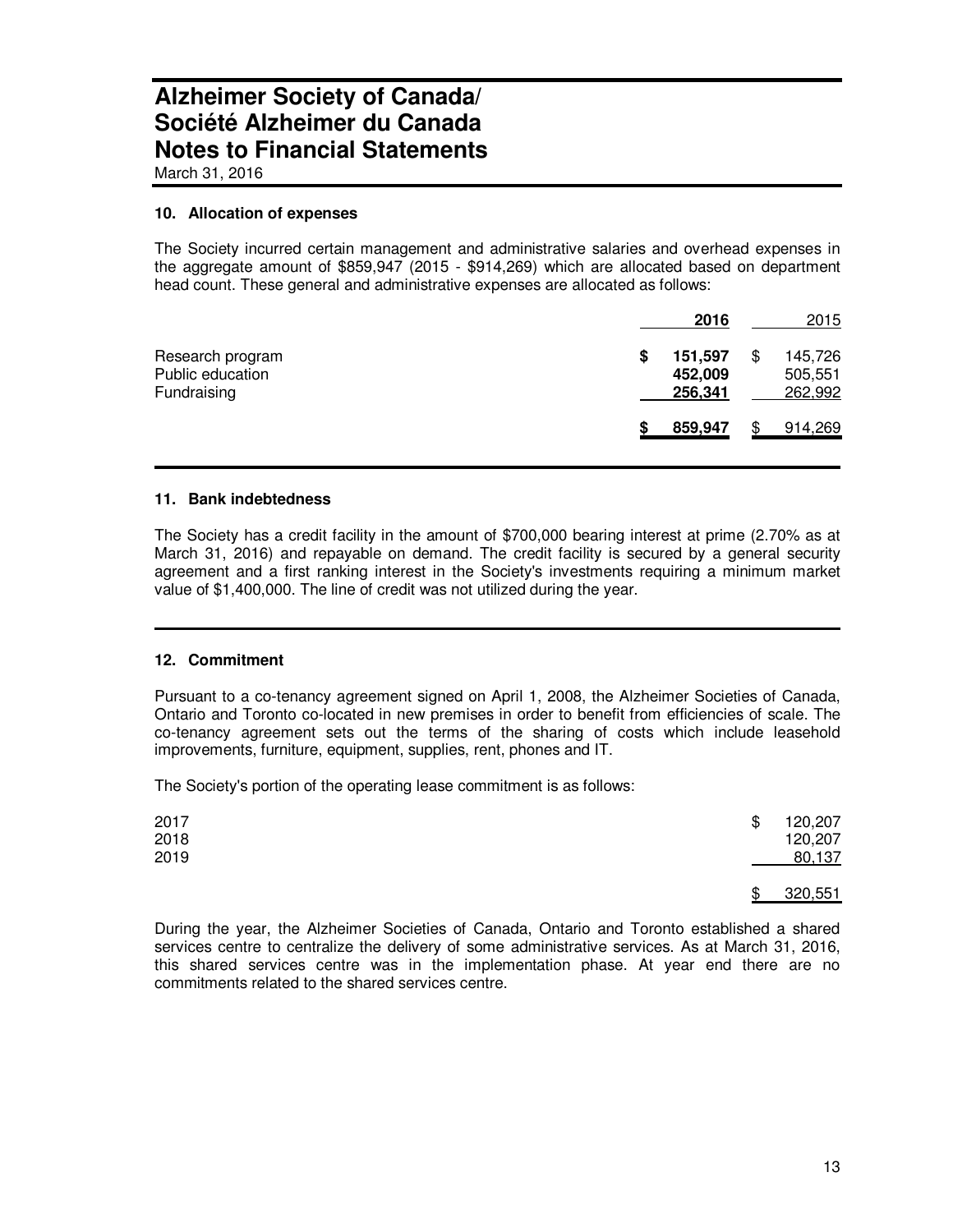March 31, 2016

#### **10. Allocation of expenses**

The Society incurred certain management and administrative salaries and overhead expenses in the aggregate amount of \$859,947 (2015 - \$914,269) which are allocated based on department head count. These general and administrative expenses are allocated as follows:

|                                                     | 2016                          | 2015                          |
|-----------------------------------------------------|-------------------------------|-------------------------------|
| Research program<br>Public education<br>Fundraising | 151,597<br>452,009<br>256,341 | 145,726<br>505,551<br>262,992 |
|                                                     | 859,947                       | 914,269                       |

#### **11. Bank indebtedness**

The Society has a credit facility in the amount of \$700,000 bearing interest at prime (2.70% as at March 31, 2016) and repayable on demand. The credit facility is secured by a general security agreement and a first ranking interest in the Society's investments requiring a minimum market value of \$1,400,000. The line of credit was not utilized during the year.

#### **12. Commitment**

Pursuant to a co-tenancy agreement signed on April 1, 2008, the Alzheimer Societies of Canada, Ontario and Toronto co-located in new premises in order to benefit from efficiencies of scale. The co-tenancy agreement sets out the terms of the sharing of costs which include leasehold improvements, furniture, equipment, supplies, rent, phones and IT.

The Society's portion of the operating lease commitment is as follows:

| 2017<br>2018<br>2019 | \$ | 120,207<br>120,207<br>80,137 |
|----------------------|----|------------------------------|
|                      | S  | 320,551                      |

During the year, the Alzheimer Societies of Canada, Ontario and Toronto established a shared services centre to centralize the delivery of some administrative services. As at March 31, 2016, this shared services centre was in the implementation phase. At year end there are no commitments related to the shared services centre.